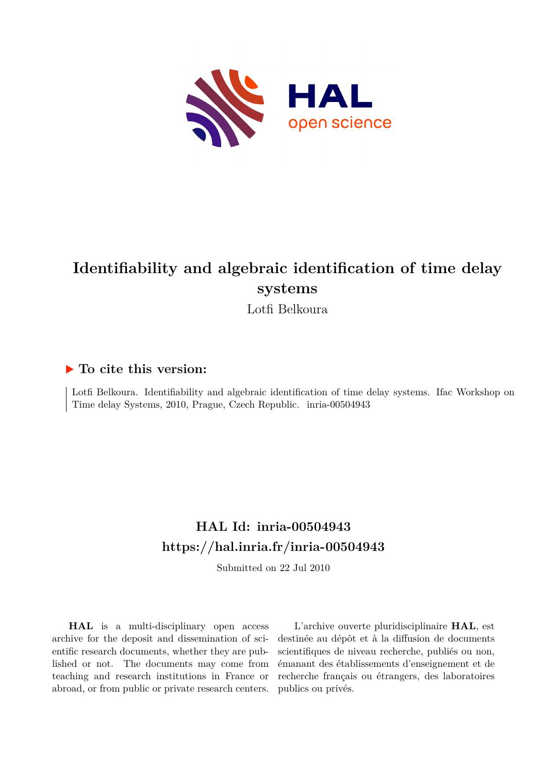

# **Identifiability and algebraic identification of time delay systems**

Lotfi Belkoura

## **To cite this version:**

Lotfi Belkoura. Identifiability and algebraic identification of time delay systems. Ifac Workshop on Time delay Systems, 2010, Prague, Czech Republic. inria-00504943

## **HAL Id: inria-00504943 <https://hal.inria.fr/inria-00504943>**

Submitted on 22 Jul 2010

**HAL** is a multi-disciplinary open access archive for the deposit and dissemination of scientific research documents, whether they are published or not. The documents may come from teaching and research institutions in France or abroad, or from public or private research centers.

L'archive ouverte pluridisciplinaire **HAL**, est destinée au dépôt et à la diffusion de documents scientifiques de niveau recherche, publiés ou non, émanant des établissements d'enseignement et de recherche français ou étrangers, des laboratoires publics ou privés.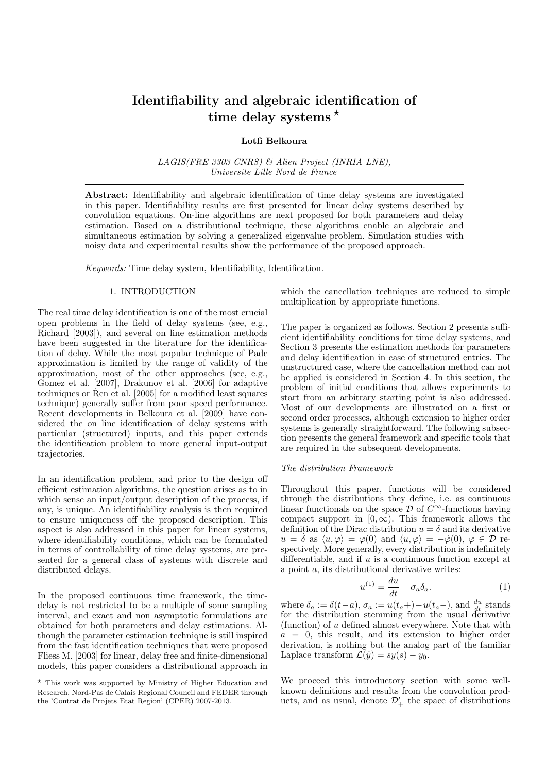## Identifiability and algebraic identification of time delay systems  $\star$

#### Lotfi Belkoura

LAGIS(FRE 3303 CNRS) & Alien Project (INRIA LNE), Universite Lille Nord de France

Abstract: Identifiability and algebraic identification of time delay systems are investigated in this paper. Identifiability results are first presented for linear delay systems described by convolution equations. On-line algorithms are next proposed for both parameters and delay estimation. Based on a distributional technique, these algorithms enable an algebraic and simultaneous estimation by solving a generalized eigenvalue problem. Simulation studies with noisy data and experimental results show the performance of the proposed approach.

Keywords: Time delay system, Identifiability, Identification.

#### 1. INTRODUCTION

The real time delay identification is one of the most crucial open problems in the field of delay systems (see, e.g., Richard [2003]), and several on line estimation methods have been suggested in the literature for the identification of delay. While the most popular technique of Pade approximation is limited by the range of validity of the approximation, most of the other approaches (see, e.g., Gomez et al. [2007], Drakunov et al. [2006] for adaptive techniques or Ren et al. [2005] for a modified least squares technique) generally suffer from poor speed performance. Recent developments in Belkoura et al. [2009] have considered the on line identification of delay systems with particular (structured) inputs, and this paper extends the identification problem to more general input-output trajectories.

In an identification problem, and prior to the design off efficient estimation algorithms, the question arises as to in which sense an input/output description of the process, if any, is unique. An identifiability analysis is then required to ensure uniqueness off the proposed description. This aspect is also addressed in this paper for linear systems, where identifiability conditions, which can be formulated in terms of controllability of time delay systems, are presented for a general class of systems with discrete and distributed delays.

In the proposed continuous time framework, the timedelay is not restricted to be a multiple of some sampling interval, and exact and non asymptotic formulations are obtained for both parameters and delay estimations. Although the parameter estimation technique is still inspired from the fast identification techniques that were proposed Fliess M. [2003] for linear, delay free and finite-dimensional models, this paper considers a distributional approach in

which the cancellation techniques are reduced to simple multiplication by appropriate functions.

The paper is organized as follows. Section 2 presents sufficient identifiability conditions for time delay systems, and Section 3 presents the estimation methods for parameters and delay identification in case of structured entries. The unstructured case, where the cancellation method can not be applied is considered in Section 4. In this section, the problem of initial conditions that allows experiments to start from an arbitrary starting point is also addressed. Most of our developments are illustrated on a first or second order processes, although extension to higher order systems is generally straightforward. The following subsection presents the general framework and specific tools that are required in the subsequent developments.

#### The distribution Framework

Throughout this paper, functions will be considered through the distributions they define, i.e. as continuous linear functionals on the space  $\mathcal D$  of  $C^{\infty}$ -functions having compact support in  $[0, \infty)$ . This framework allows the definition of the Dirac distribution  $u = \delta$  and its derivative  $u = \dot{\delta}$  as  $\langle u, \varphi \rangle = \varphi(0)$  and  $\langle u, \varphi \rangle = -\dot{\varphi}(0), \varphi \in \mathcal{D}$  respectively. More generally, every distribution is indefinitely differentiable, and if  $u$  is a continuous function except at a point a, its distributional derivative writes:

$$
u^{(1)} = \frac{du}{dt} + \sigma_a \delta_a.
$$
 (1)

where  $\delta_a := \delta(t-a)$ ,  $\sigma_a := u(t_a+) - u(t_a-)$ , and  $\frac{du}{dt}$  stands for the distribution stemming from the usual derivative (function) of u defined almost everywhere. Note that with  $a = 0$ , this result, and its extension to higher order derivation, is nothing but the analog part of the familiar Laplace transform  $\mathcal{L}(\dot{y}) = sy(s) - y_0$ .

We proceed this introductory section with some wellknown definitions and results from the convolution products, and as usual, denote  $\mathcal{D}'_+$  the space of distributions

<sup>⋆</sup> This work was supported by Ministry of Higher Education and Research, Nord-Pas de Calais Regional Council and FEDER through the 'Contrat de Projets Etat Region' (CPER) 2007-2013.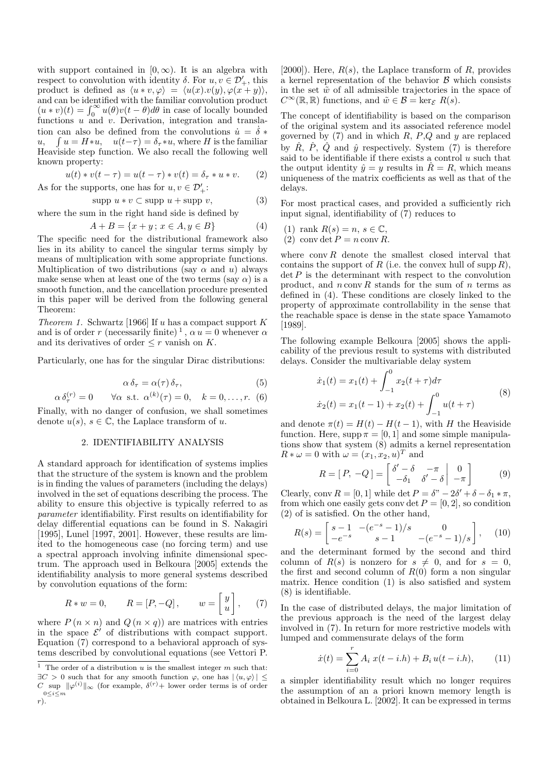with support contained in  $[0, \infty)$ . It is an algebra with respect to convolution with identity  $\delta$ . For  $u, v \in \mathcal{D}'_+$ , this product is defined as  $\langle u * v, \varphi \rangle = \langle u(x).v(y), \varphi(x + y) \rangle,$ and can be identified with the familiar convolution product  $(u * v)(t) = \int_0^\infty u(\theta)v(t - \theta)d\theta$  in case of locally bounded functions  $u$  and  $v$ . Derivation, integration and translation can also be defined from the convolutions  $\dot{u} = \dot{\delta} *$ u,  $\int u = H * u$ ,  $u(t-\tau) = \delta_{\tau} * u$ , where H is the familiar Heaviside step function. We also recall the following well known property:

$$
u(t) * v(t - \tau) = u(t - \tau) * v(t) = \delta_{\tau} * u * v.
$$
 (2)

As for the supports, one has for 
$$
u, v \in \mathcal{D}'_+
$$
:

$$
supp u * v \subset supp u + supp v,
$$
\n(3)

where the sum in the right hand side is defined by

$$
A + B = \{x + y \, ; \, x \in A, y \in B\} \tag{4}
$$

The specific need for the distributional framework also lies in its ability to cancel the singular terms simply by means of multiplication with some appropriate functions. Multiplication of two distributions (say  $\alpha$  and  $u$ ) always make sense when at least one of the two terms (say  $\alpha$ ) is a smooth function, and the cancellation procedure presented in this paper will be derived from the following general Theorem:

Theorem 1. Schwartz [1966] If u has a compact support K and is of order r (necessarily finite)<sup>1</sup>,  $\alpha u = 0$  whenever  $\alpha$ and its derivatives of order  $\leq r$  vanish on K.

Particularly, one has for the singular Dirac distributions:

$$
\alpha \, \delta_{\tau} = \alpha(\tau) \, \delta_{\tau},\tag{5}
$$

$$
\alpha \delta_{\tau}^{(r)} = 0 \qquad \forall \alpha \text{ s.t. } \alpha^{(k)}(\tau) = 0, \quad k = 0, \dots, r. \tag{6}
$$

Finally, with no danger of confusion, we shall sometimes denote  $u(s)$ ,  $s \in \mathbb{C}$ , the Laplace transform of u.

#### 2. IDENTIFIABILITY ANALYSIS

A standard approach for identification of systems implies that the structure of the system is known and the problem is in finding the values of parameters (including the delays) involved in the set of equations describing the process. The ability to ensure this objective is typically referred to as parameter identifiability. First results on identifiability for delay differential equations can be found in S. Nakagiri [1995], Lunel [1997, 2001]. However, these results are limited to the homogeneous case (no forcing term) and use a spectral approach involving infinite dimensional spectrum. The approach used in Belkoura [2005] extends the identifiability analysis to more general systems described by convolution equations of the form:

$$
R * w = 0, \qquad R = [P, -Q], \qquad w = \begin{bmatrix} y \\ u \end{bmatrix}, \qquad (7)
$$

where  $P(n \times n)$  and  $Q(n \times q)$  are matrices with entries in the space  $\mathcal{E}'$  of distributions with compact support. Equation (7) correspond to a behavioral approach of systems described by convolutional equations (see Vettori P.

[2000]). Here,  $R(s)$ , the Laplace transform of R, provides a kernel representation of the behavior  $\beta$  which consists in the set  $\tilde{w}$  of all admissible trajectories in the space of  $C^{\infty}(\mathbb{R}, \mathbb{R})$  functions, and  $\tilde{w} \in \mathcal{B} = \text{ker}_{\mathcal{E}} R(s)$ .

The concept of identifiability is based on the comparison of the original system and its associated reference model governed by  $(7)$  and in which R, P,Q and y are replaced by  $\hat{R}$ ,  $\hat{P}$ ,  $\hat{Q}$  and  $\hat{y}$  respectively. System (7) is therefore said to be identifiable if there exists a control  $u$  such that the output identity  $\hat{y} = y$  results in  $\hat{R} = R$ , which means uniqueness of the matrix coefficients as well as that of the delays.

For most practical cases, and provided a sufficiently rich input signal, identifiability of (7) reduces to

- (1) rank  $R(s) = n, s \in \mathbb{C}$ ,
- (2) conv det  $P = n$  conv R.

where  $conv R$  denote the smallest closed interval that contains the support of R (i.e. the convex hull of supp  $R$ ),  $\det P$  is the determinant with respect to the convolution product, and  $n \text{ conv } R$  stands for the sum of  $n$  terms as defined in (4). These conditions are closely linked to the property of approximate controllability in the sense that the reachable space is dense in the state space Yamamoto [1989].

The following example Belkoura [2005] shows the applicability of the previous result to systems with distributed delays. Consider the multivariable delay system

$$
\begin{aligned} \dot{x}_1(t) &= x_1(t) + \int_{-1}^0 x_2(t+\tau)d\tau\\ \dot{x}_2(t) &= x_1(t-1) + x_2(t) + \int_{-1}^0 u(t+\tau) \end{aligned} \tag{8}
$$

and denote  $\pi(t) = H(t) - H(t-1)$ , with H the Heaviside function. Here,  $\text{supp}\,\pi = [0,1]$  and some simple manipulations show that system (8) admits a kernel representation  $R * \omega = 0$  with  $\omega = (x_1, x_2, u)^T$  and

$$
R = [P, -Q] = \begin{bmatrix} \delta' - \delta & -\pi \\ -\delta_1 & \delta' - \delta \end{bmatrix} \begin{bmatrix} 0 \\ -\pi \end{bmatrix}
$$
 (9)

Clearly, conv  $R = [0, 1]$  while det  $P = \delta'' - 2\delta' + \delta - \delta_1 * \pi$ , from which one easily gets conv det  $P = [0, 2]$ , so condition (2) of is satisfied. On the other hand,

$$
R(s) = \begin{bmatrix} s-1 & -(e^{-s}-1)/s & 0\\ -e^{-s} & s-1 & -(e^{-s}-1)/s \end{bmatrix}, \quad (10)
$$

and the determinant formed by the second and third column of  $R(s)$  is nonzero for  $s \neq 0$ , and for  $s = 0$ , the first and second column of  $R(0)$  form a non singular matrix. Hence condition (1) is also satisfied and system (8) is identifiable.

In the case of distributed delays, the major limitation of the previous approach is the need of the largest delay involved in (7). In return for more restrictive models with lumped and commensurate delays of the form

$$
\dot{x}(t) = \sum_{i=0}^{r} A_i x(t - i.h) + B_i u(t - i.h), \qquad (11)
$$

a simpler identifiability result which no longer requires the assumption of an a priori known memory length is obtained in Belkoura L. [2002]. It can be expressed in terms

<sup>&</sup>lt;sup>1</sup> The order of a distribution u is the smallest integer m such that:  $\exists C > 0$  such that for any smooth function  $\varphi$ , one has  $|\langle u, \varphi \rangle| \leq$ C sup  $\|\varphi^{(i)}\|_{\infty}$  (for example,  $\delta^{(r)}$  + lower order terms is of order 0≤i≤m  $r$ ).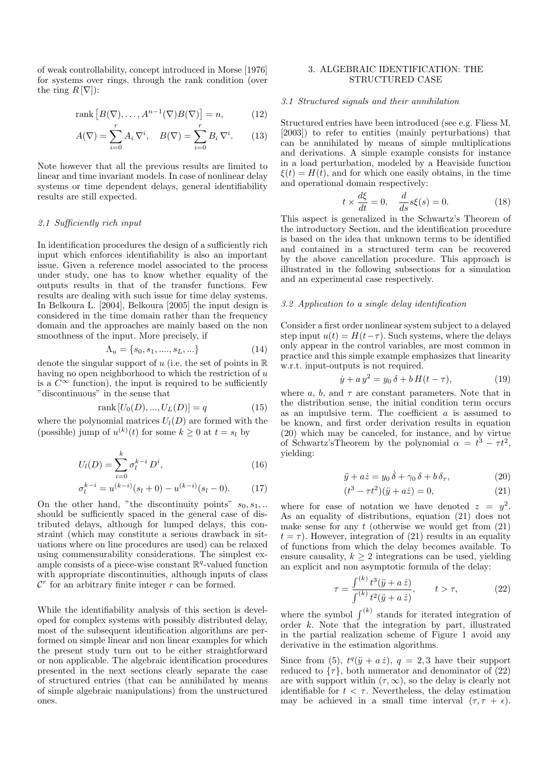of weak controllability, concept introduced in Morse [1976] for systems over rings, through the rank condition (over the ring  $R [\nabla]$ :

$$
rank [B(\nabla),...,A^{n-1}(\nabla)B(\nabla)] = n,
$$
 (12)

$$
A(\nabla) = \sum_{i=0}^{r} A_i \nabla^i, \quad B(\nabla) = \sum_{i=0}^{r} B_i \nabla^i.
$$
 (13)

Note however that all the previous results are limited to linear and time invariant models. In case of nonlinear delay systems or time dependent delays, general identifiability results are still expected.

#### 2.1 Sufficiently rich input

In identification procedures the design of a sufficiently rich input which enforces identifiability is also an important issue. Given a reference model associated to the process under study, one has to know whether equality of the outputs results in that of the transfer functions. Few results are dealing with such issue for time delay systems. In Belkoura L. [2004], Belkoura [2005] the input design is considered in the time domain rather than the frequency domain and the approaches are mainly based on the non smoothness of the input. More precisely, if

$$
\Lambda_u = \{s_0, s_1, \dots, s_L, \dots\} \tag{14}
$$

denote the singular support of  $u$  (i.e. the set of points in  $\mathbb R$ ) having no open neighborhood to which the restriction of  $u$ is a  $C^{\infty}$  function), the input is required to be sufficiently "discontinuous" in the sense that

$$
rank [U_0(D), ..., U_L(D)] = q
$$
 (15)

where the polynomial matrices  $U_l(D)$  are formed with the (possible) jump of  $u^{(k)}(t)$  for some  $k \geq 0$  at  $t = s_l$  by

$$
U_l(D) = \sum_{i=0}^k \sigma_l^{k-i} D^i,
$$
\n(16)

$$
\sigma_l^{k-i} = u^{(k-i)}(s_l + 0) - u^{(k-i)}(s_l - 0). \tag{17}
$$

On the other hand, "the discontinuity points"  $s_0, s_1, \ldots$ should be sufficiently spaced in the general case of distributed delays, although for lumped delays, this constraint (which may constitute a serious drawback in situations where on line procedures are used) can be relaxed using commensurability considerations. The simplest example consists of a piece-wise constant  $\mathbb{R}^q$ -valued function with appropriate discontinuities, although inputs of class  $\mathcal{C}^r$  for an arbitrary finite integer r can be formed.

While the identifiability analysis of this section is developed for complex systems with possibly distributed delay, most of the subsequent identification algorithms are performed on simple linear and non linear examples for which the present study turn out to be either straightforward or non applicable. The algebraic identification procedures presented in the next sections clearly separate the case of structured entries (that can be annihilated by means of simple algebraic manipulations) from the unstructured ones.

#### 3. ALGEBRAIC IDENTIFICATION: THE STRUCTURED CASE

#### 3.1 Structured signals and their annihilation

Structured entries have been introduced (see e.g. Fliess M. [2003]) to refer to entities (mainly perturbations) that can be annihilated by means of simple multiplications and derivations. A simple example consists for instance in a load perturbation, modeled by a Heaviside function  $\xi(t) = H(t)$ , and for which one easily obtains, in the time and operational domain respectively:

$$
t \times \frac{d\xi}{dt} = 0, \quad \frac{d}{ds}s\xi(s) = 0.
$$
 (18)

This aspect is generalized in the Schwartz's Theorem of the introductory Section, and the identification procedure is based on the idea that unknown terms to be identified and contained in a structured term can be recovered by the above cancellation procedure. This approach is illustrated in the following subsections for a simulation and an experimental case respectively.

#### 3.2 Application to a single delay identification

Consider a first order nonlinear system subject to a delayed step input  $u(t) = H(t-\tau)$ . Such systems, where the delays only appear in the control variables, are most common in practice and this simple example emphasizes that linearity w.r.t. input-outputs is not required.

$$
\dot{y} + a y^2 = y_0 \,\delta + b \, H(t - \tau),\tag{19}
$$

where a, b, and  $\tau$  are constant parameters. Note that in the distribution sense, the initial condition term occurs as an impulsive term. The coefficient  $a$  is assumed to be known, and first order derivation results in equation (20) which may be canceled, for instance, and by virtue of Schwartz'sTheorem by the polynomial  $\alpha = t^3 - \tau t^2$ , yielding:

$$
\ddot{y} + a\dot{z} = y_0 \dot{\delta} + \gamma_0 \delta + b \delta_\tau, \tag{20}
$$

$$
(t3 - \tau t2)(\ddot{y} + a\dot{z}) = 0,
$$
\n(21)

where for ease of notation we have denoted  $z = y^2$ . As an equality of distributions, equation (21) does not make sense for any  $t$  (otherwise we would get from  $(21)$ )  $t = \tau$ ). However, integration of (21) results in an equality of functions from which the delay becomes available. To ensure causality,  $k > 2$  integrations can be used, yielding an explicit and non asymptotic formula of the delay:

$$
\tau = \frac{\int^{(k)} t^3(\ddot{y} + a\,\dot{z})}{\int^{(k)} t^2(\ddot{y} + a\,\dot{z})}, \qquad t > \tau,
$$
\n(22)

where the symbol  $\int^{(k)}$  stands for iterated integration of order  $k$ . Note that the integration by part, illustrated in the partial realization scheme of Figure 1 avoid any derivative in the estimation algorithms.

Since from (5),  $t^q(\ddot{y} + a\dot{z})$ ,  $q = 2, 3$  have their support reduced to  $\{\tau\}$ , both numerator and denominator of (22) are with support within  $(\tau, \infty)$ , so the delay is clearly not identifiable for  $t < \tau$ . Nevertheless, the delay estimation may be achieved in a small time interval  $(\tau, \tau + \epsilon)$ .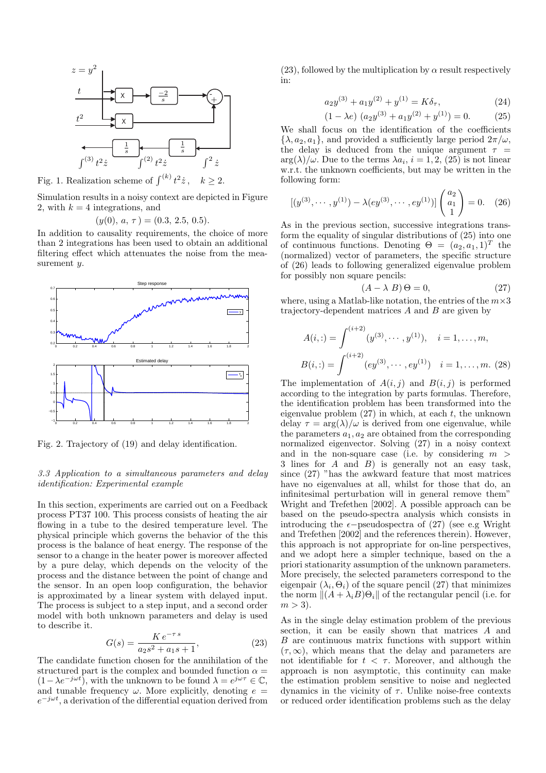

Fig. 1. Realization scheme of  $\int^{(k)} t^2$  $k > 2$ .

Simulation results in a noisy context are depicted in Figure 2, with  $k = 4$  integrations, and

 $(y(0), a, \tau) = (0.3, 2.5, 0.5).$ 

In addition to causality requirements, the choice of more than 2 integrations has been used to obtain an additional filtering effect which attenuates the noise from the measurement y.



Fig. 2. Trajectory of (19) and delay identification.

#### 3.3 Application to a simultaneous parameters and delay identification: Experimental example

In this section, experiments are carried out on a Feedback process PT37 100. This process consists of heating the air flowing in a tube to the desired temperature level. The physical principle which governs the behavior of the this process is the balance of heat energy. The response of the sensor to a change in the heater power is moreover affected by a pure delay, which depends on the velocity of the process and the distance between the point of change and the sensor. In an open loop configuration, the behavior is approximated by a linear system with delayed input. The process is subject to a step input, and a second order model with both unknown parameters and delay is used to describe it.

$$
G(s) = \frac{Ke^{-\tau s}}{a_2 s^2 + a_1 s + 1},\tag{23}
$$

The candidate function chosen for the annihilation of the structured part is the complex and bounded function  $\alpha =$  $(1 - \lambda e^{-j\omega t})$ , with the unknown to be found  $\lambda = e^{j\omega \tau} \in \mathbb{C}$ , and tunable frequency  $\omega$ . More explicitly, denoting  $e =$  $e^{-j\omega t}$ , a derivation of the differential equation derived from

(23), followed by the multiplication by  $\alpha$  result respectively in:

$$
a_2y^{(3)} + a_1y^{(2)} + y^{(1)} = K\delta_\tau,\tag{24}
$$

$$
(1 - \lambda e) (a_2 y^{(3)} + a_1 y^{(2)} + y^{(1)}) = 0.
$$
 (25)

We shall focus on the identification of the coefficients  $\{\lambda, a_2, a_1\}$ , and provided a sufficiently large period  $2\pi/\omega$ , the delay is deduced from the unique argument  $\tau =$  $\arg(\lambda)/\omega$ . Due to the terms  $\lambda a_i$ ,  $i = 1, 2, (25)$  is not linear w.r.t. the unknown coefficients, but may be written in the following form:

$$
[(y^{(3)}, \cdots, y^{(1)}) - \lambda(ey^{(3)}, \cdots, ey^{(1)})] \begin{pmatrix} a_2 \\ a_1 \\ 1 \end{pmatrix} = 0.
$$
 (26)

As in the previous section, successive integrations transform the equality of singular distributions of (25) into one of continuous functions. Denoting  $\Theta = (a_2, a_1, 1)^T$  the (normalized) vector of parameters, the specific structure of (26) leads to following generalized eigenvalue problem for possibly non square pencils:

$$
(A - \lambda B)\Theta = 0,\t(27)
$$

where, using a Matlab-like notation, the entries of the  $m \times 3$ trajectory-dependent matrices A and B are given by

$$
A(i,:) = \int^{(i+2)} (y^{(3)}, \cdots, y^{(1)}), \quad i = 1, \ldots, m,
$$
  

$$
B(i,:) = \int^{(i+2)} (ey^{(3)}, \cdots, ey^{(1)}) \quad i = 1, \ldots, m.
$$
 (28)

The implementation of  $A(i, j)$  and  $B(i, j)$  is performed according to the integration by parts formulas. Therefore, the identification problem has been transformed into the eigenvalue problem  $(27)$  in which, at each t, the unknown delay  $\tau = \arg(\lambda)/\omega$  is derived from one eigenvalue, while the parameters  $a_1, a_2$  are obtained from the corresponding normalized eigenvector. Solving (27) in a noisy context and in the non-square case (i.e. by considering  $m >$ 3 lines for A and B) is generally not an easy task, since (27) "has the awkward feature that most matrices have no eigenvalues at all, whilst for those that do, an infinitesimal perturbation will in general remove them" Wright and Trefethen [2002]. A possible approach can be based on the pseudo-spectra analysis which consists in introducing the  $\epsilon$ −pseudospectra of (27) (see e.g Wright and Trefethen [2002] and the references therein). However, this approach is not appropriate for on-line perspectives, and we adopt here a simpler technique, based on the a priori stationarity assumption of the unknown parameters. More precisely, the selected parameters correspond to the eigenpair  $(\lambda_i, \Theta_i)$  of the square pencil (27) that minimizes the norm  $\|(A + \lambda_i B)\Theta_i\|$  of the rectangular pencil (i.e. for  $m > 3$ ).

As in the single delay estimation problem of the previous section, it can be easily shown that matrices A and B are continuous matrix functions with support within  $(\tau,\infty)$ , which means that the delay and parameters are not identifiable for  $t < \tau$ . Moreover, and although the approach is non asymptotic, this continuity can make the estimation problem sensitive to noise and neglected dynamics in the vicinity of  $\tau$ . Unlike noise-free contexts or reduced order identification problems such as the delay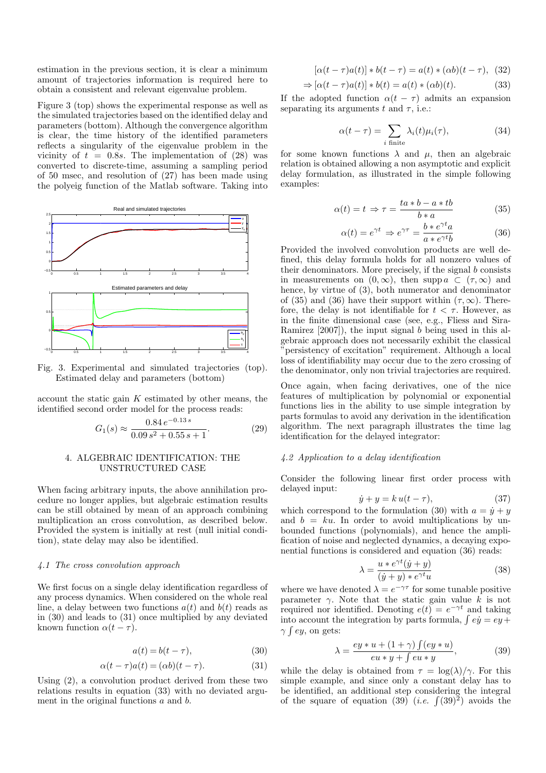estimation in the previous section, it is clear a minimum amount of trajectories information is required here to obtain a consistent and relevant eigenvalue problem.

Figure 3 (top) shows the experimental response as well as the simulated trajectories based on the identified delay and parameters (bottom). Although the convergence algorithm is clear, the time history of the identified parameters reflects a singularity of the eigenvalue problem in the vicinity of  $t = 0.8s$ . The implementation of (28) was converted to discrete-time, assuming a sampling period of 50 msec, and resolution of (27) has been made using the polyeig function of the Matlab software. Taking into



Fig. 3. Experimental and simulated trajectories (top). Estimated delay and parameters (bottom)

account the static gain  $K$  estimated by other means, the identified second order model for the process reads:

$$
G_1(s) \approx \frac{0.84 \, e^{-0.13 \, s}}{0.09 \, s^2 + 0.55 \, s + 1}.\tag{29}
$$

#### 4. ALGEBRAIC IDENTIFICATION: THE UNSTRUCTURED CASE

When facing arbitrary inputs, the above annihilation procedure no longer applies, but algebraic estimation results can be still obtained by mean of an approach combining multiplication an cross convolution, as described below. Provided the system is initially at rest (null initial condition), state delay may also be identified.

#### 4.1 The cross convolution approach

We first focus on a single delay identification regardless of any process dynamics. When considered on the whole real line, a delay between two functions  $a(t)$  and  $b(t)$  reads as in (30) and leads to (31) once multiplied by any deviated known function  $\alpha(t-\tau)$ .

$$
a(t) = b(t - \tau), \tag{30}
$$

$$
\alpha(t - \tau)a(t) = (\alpha b)(t - \tau). \tag{31}
$$

Using (2), a convolution product derived from these two relations results in equation (33) with no deviated argument in the original functions  $\alpha$  and  $\beta$ .

$$
[\alpha(t - \tau)a(t)] * b(t - \tau) = a(t) * (\alpha b)(t - \tau), (32)
$$

$$
\Rightarrow [\alpha(t-\tau)a(t)] * b(t) = a(t) * (\alpha b)(t). \tag{33}
$$

If the adopted function  $\alpha(t - \tau)$  admits an expansion separating its arguments t and  $\tau$ , i.e.:

$$
\alpha(t-\tau) = \sum_{i \text{ finite}} \lambda_i(t)\mu_i(\tau),\tag{34}
$$

for some known functions  $\lambda$  and  $\mu$ , then an algebraic relation is obtained allowing a non asymptotic and explicit delay formulation, as illustrated in the simple following examples:

$$
\alpha(t) = t \Rightarrow \tau = \frac{ta * b - a * tb}{b * a} \tag{35}
$$

$$
\alpha(t) = e^{\gamma t} \Rightarrow e^{\gamma \tau} = \frac{b * e^{\gamma t} a}{a * e^{\gamma t} b}
$$
 (36)

Provided the involved convolution products are well defined, this delay formula holds for all nonzero values of their denominators. More precisely, if the signal b consists in measurements on  $(0, \infty)$ , then supp  $a \subset (\tau, \infty)$  and hence, by virtue of (3), both numerator and denominator of (35) and (36) have their support within  $(\tau, \infty)$ . Therefore, the delay is not identifiable for  $t < \tau$ . However, as in the finite dimensional case (see, e.g., Fliess and Sira-Ramirez  $[2007]$ , the input signal b being used in this algebraic approach does not necessarily exhibit the classical persistency of excitation" requirement. Although a local loss of identifiability may occur due to the zero crossing of the denominator, only non trivial trajectories are required.

Once again, when facing derivatives, one of the nice features of multiplication by polynomial or exponential functions lies in the ability to use simple integration by parts formulas to avoid any derivation in the identification algorithm. The next paragraph illustrates the time lag identification for the delayed integrator:

#### 4.2 Application to a delay identification

Consider the following linear first order process with delayed input:

$$
\dot{y} + y = k u(t - \tau),\tag{37}
$$

which correspond to the formulation (30) with  $a = \dot{y} + y$ and  $b = ku$ . In order to avoid multiplications by unbounded functions (polynomials), and hence the amplification of noise and neglected dynamics, a decaying exponential functions is considered and equation (36) reads:

$$
\lambda = \frac{u * e^{\gamma t} (\dot{y} + y)}{(\dot{y} + y) * e^{\gamma t} u}
$$
\n(38)

where we have denoted  $\lambda = e^{-\gamma \tau}$  for some tunable positive parameter  $\gamma$ . Note that the static gain value k is not required nor identified. Denoting  $e(t) = e^{-\gamma t}$  and taking into account the integration by parts formula,  $\int e\dot{y} = ey +$  $\gamma \int ey$ , on gets:

$$
\lambda = \frac{ey * u + (1 + \gamma) \int (ey * u)}{eu * y + \int eu * y},
$$
\n(39)

while the delay is obtained from  $\tau = \log(\lambda)/\gamma$ . For this simple example, and since only a constant delay has to be identified, an additional step considering the integral of the square of equation (39) (*i.e.*  $\int (39)^2$ ) avoids the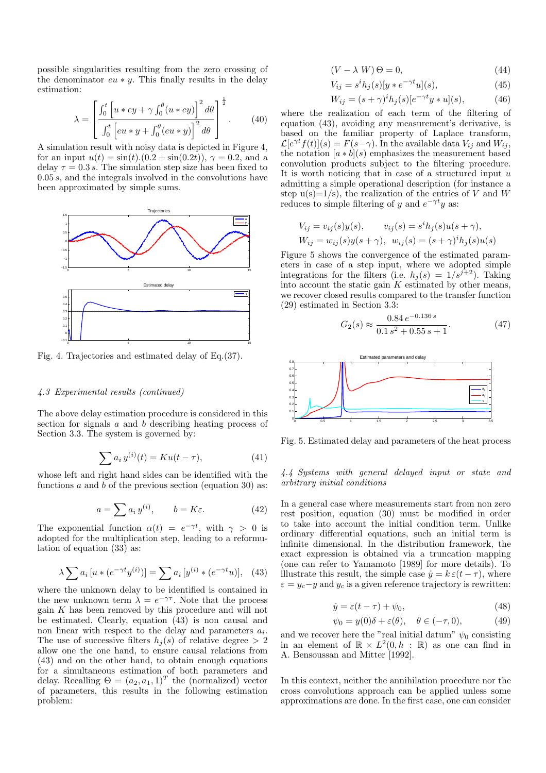possible singularities resulting from the zero crossing of the denominator  $eu * y$ . This finally results in the delay estimation:

$$
\lambda = \left[ \frac{\int_0^t \left[ u * ey + \gamma \int_0^\theta (u * ey) \right]^2 d\theta}{\int_0^t \left[ eu * y + \int_0^\theta (eu * y) \right]^2 d\theta} \right]^{\frac{1}{2}}.
$$
 (40)

A simulation result with noisy data is depicted in Figure 4, for an input  $u(t) = \sin(t) \cdot (0.2 + \sin(0.2t))$ ,  $\gamma = 0.2$ , and a delay  $\tau = 0.3 s$ . The simulation step size has been fixed to 0.05 s, and the integrals involved in the convolutions have been approximated by simple sums.



Fig. 4. Trajectories and estimated delay of Eq.(37).

#### 4.3 Experimental results (continued)

The above delay estimation procedure is considered in this section for signals a and b describing heating process of Section 3.3. The system is governed by:

$$
\sum a_i y^{(i)}(t) = K u(t - \tau), \tag{41}
$$

whose left and right hand sides can be identified with the functions  $a$  and  $b$  of the previous section (equation 30) as:

$$
a = \sum a_i y^{(i)}, \qquad b = K\varepsilon. \tag{42}
$$

The exponential function  $\alpha(t) = e^{-\gamma t}$ , with  $\gamma > 0$  is adopted for the multiplication step, leading to a reformulation of equation (33) as:

$$
\lambda \sum a_i [u * (e^{-\gamma t} y^{(i)})] = \sum a_i [y^{(i)} * (e^{-\gamma t} u)], \quad (43)
$$

where the unknown delay to be identified is contained in the new unknown term  $\lambda = e^{-\gamma \tau}$ . Note that the process gain K has been removed by this procedure and will not be estimated. Clearly, equation (43) is non causal and non linear with respect to the delay and parameters  $a_i$ . The use of successive filters  $h_i(s)$  of relative degree  $> 2$ allow one the one hand, to ensure causal relations from (43) and on the other hand, to obtain enough equations for a simultaneous estimation of both parameters and delay. Recalling  $\Theta = (a_2, a_1, 1)^T$  the (normalized) vector of parameters, this results in the following estimation problem:

$$
(V - \lambda W)\Theta = 0,\t\t(44)
$$

$$
V_{ij} = s^i h_j(s) [y * e^{-\gamma t} u](s), \qquad (45)
$$

$$
W_{ij} = (s + \gamma)^i h_j(s) [e^{-\gamma t} y * u](s), \qquad (46)
$$

where the realization of each term of the filtering of equation (43), avoiding any measurement's derivative, is based on the familiar property of Laplace transform,  $\mathcal{L}[e^{\gamma t}f(t)](s) = F(s-\gamma)$ . In the available data  $V_{ij}$  and  $W_{ij}$ , the notation  $[a * b](s)$  emphasizes the measurement based convolution products subject to the filtering procedure. It is worth noticing that in case of a structured input  $u$ admitting a simple operational description (for instance a step  $u(s)=1/s$ , the realization of the entries of V and W reduces to simple filtering of y and  $e^{-\gamma t}y$  as:

$$
V_{ij} = v_{ij}(s)y(s), \qquad v_{ij}(s) = s^i h_j(s)u(s+\gamma),
$$
  
\n
$$
W_{ij} = w_{ij}(s)y(s+\gamma), \quad w_{ij}(s) = (s+\gamma)^i h_j(s)u(s)
$$

Figure 5 shows the convergence of the estimated parameters in case of a step input, where we adopted simple integrations for the filters (i.e.  $h_i(s) = 1/s^{i+2}$ ). Taking into account the static gain  $K$  estimated by other means, we recover closed results compared to the transfer function (29) estimated in Section 3.3:

$$
G_2(s) \approx \frac{0.84 \, e^{-0.136 \, s}}{0.1 \, s^2 + 0.55 \, s + 1}.\tag{47}
$$



Fig. 5. Estimated delay and parameters of the heat process

4.4 Systems with general delayed input or state and  $arbitrary'initial conditions$ 

In a general case where measurements start from non zero rest position, equation (30) must be modified in order to take into account the initial condition term. Unlike ordinary differential equations, such an initial term is infinite dimensional. In the distribution framework, the exact expression is obtained via a truncation mapping (one can refer to Yamamoto [1989] for more details). To illustrate this result, the simple case  $\dot{y} = k \varepsilon(t - \tau)$ , where  $\varepsilon = y_c - y$  and  $y_c$  is a given reference trajectory is rewritten:

$$
\dot{y} = \varepsilon(t - \tau) + \psi_0,\tag{48}
$$

$$
\psi_0 = y(0)\delta + \varepsilon(\theta), \quad \theta \in (-\tau, 0), \tag{49}
$$

and we recover here the "real initial datum"  $\psi_0$  consisting in an element of  $\mathbb{R} \times L^2(0, h : \mathbb{R})$  as one can find in A. Bensoussan and Mitter [1992].

In this context, neither the annihilation procedure nor the cross convolutions approach can be applied unless some approximations are done. In the first case, one can consider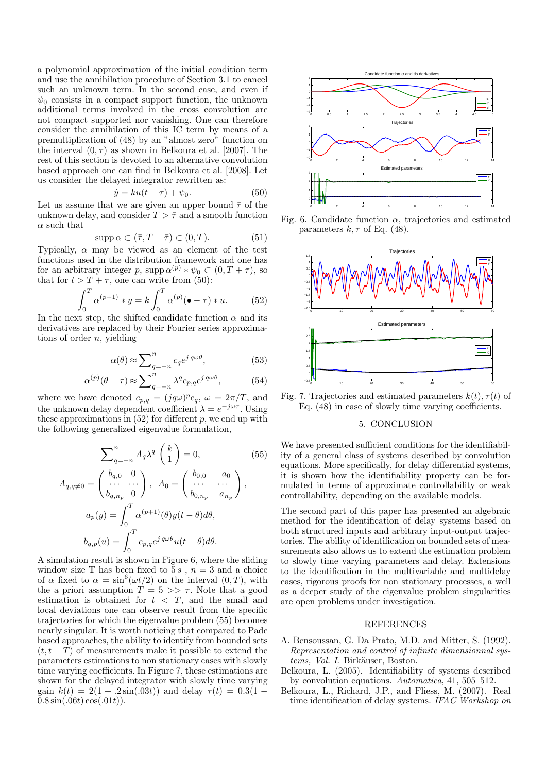a polynomial approximation of the initial condition term and use the annihilation procedure of Section 3.1 to cancel such an unknown term. In the second case, and even if  $\psi_0$  consists in a compact support function, the unknown additional terms involved in the cross convolution are not compact supported nor vanishing. One can therefore consider the annihilation of this IC term by means of a premultiplication of (48) by an "almost zero" function on the interval  $(0, \tau)$  as shown in Belkoura et al. [2007]. The rest of this section is devoted to an alternative convolution based approach one can find in Belkoura et al. [2008]. Let us consider the delayed integrator rewritten as:

$$
\dot{y} = ku(t - \tau) + \psi_0. \tag{50}
$$

Let us assume that we are given an upper bound  $\bar{\tau}$  of the unknown delay, and consider  $T > \overline{\tau}$  and a smooth function  $\alpha$  such that

$$
supp \alpha \subset (\bar{\tau}, T - \bar{\tau}) \subset (0, T). \tag{51}
$$

Typically,  $\alpha$  may be viewed as an element of the test functions used in the distribution framework and one has for an arbitrary integer p, supp  $\alpha^{(p)} * \psi_0 \subset (0, T + \tau)$ , so that for  $t > T + \tau$ , one can write from (50):

$$
\int_0^T \alpha^{(p+1)} * y = k \int_0^T \alpha^{(p)} (\bullet - \tau) * u. \tag{52}
$$

In the next step, the shifted candidate function  $\alpha$  and its derivatives are replaced by their Fourier series approximations of order  $n$ , yielding

$$
\alpha(\theta) \approx \sum_{q=-n}^{n} c_q e^{j \, q \omega \theta},\tag{53}
$$

$$
\alpha^{(p)}(\theta - \tau) \approx \sum_{q=-n}^{n} \lambda^{q} c_{p,q} e^{j \, q\omega \theta},\tag{54}
$$

where we have denoted  $c_{p,q} = (jq\omega)^p c_q$ ,  $\omega = 2\pi/T$ , and the unknown delay dependent coefficient  $\lambda = e^{-j\omega\tau}$ . Using these approximations in  $(52)$  for different p, we end up with the following generalized eigenvalue formulation,

$$
\sum_{q=-n}^{n} A_q \lambda^q \begin{pmatrix} k \\ 1 \end{pmatrix} = 0, \tag{55}
$$

$$
A_{q,q\neq 0} = \begin{pmatrix} b_{q,0} & 0 \\ \cdots & \cdots \\ b_{q,n_p} & 0 \end{pmatrix}, A_0 = \begin{pmatrix} b_{0,0} & -a_0 \\ \cdots & \cdots \\ b_{0,n_p} & -a_{n_p} \end{pmatrix},
$$

$$
a_p(y) = \int_0^T \alpha^{(p+1)}(\theta)y(t-\theta)d\theta,
$$

$$
b_{q,p}(u) = \int_0^T c_{p,q}e^{j\ q\omega\theta}u(t-\theta)d\theta.
$$

A simulation result is shown in Figure 6, where the sliding window size T has been fixed to  $5s$ ,  $n = 3$  and a choice of  $\alpha$  fixed to  $\alpha = \sin^6(\omega t/2)$  on the interval  $(0, T)$ , with the a priori assumption  $T = 5 \gg \tau$ . Note that a good estimation is obtained for  $t < T$ , and the small and local deviations one can observe result from the specific trajectories for which the eigenvalue problem (55) becomes nearly singular. It is worth noticing that compared to Pade based approaches, the ability to identify from bounded sets  $(t, t - T)$  of measurements make it possible to extend the parameters estimations to non stationary cases with slowly time varying coefficients. In Figure 7, these estimations are shown for the delayed integrator with slowly time varying gain  $k(t) = 2(1 + .2 \sin(.03t))$  and delay  $\tau(t) = 0.3(1 (0.8 \sin(.06t) \cos(.01t)).$ 



Fig. 6. Candidate function  $\alpha$ , trajectories and estimated parameters  $k, \tau$  of Eq. (48).



Fig. 7. Trajectories and estimated parameters  $k(t)$ ,  $\tau(t)$  of Eq. (48) in case of slowly time varying coefficients.

#### 5. CONCLUSION

We have presented sufficient conditions for the identifiability of a general class of systems described by convolution equations. More specifically, for delay differential systems, it is shown how the identifiability property can be formulated in terms of approximate controllability or weak controllability, depending on the available models.

The second part of this paper has presented an algebraic method for the identification of delay systems based on both structured inputs and arbitrary input-output trajectories. The ability of identification on bounded sets of measurements also allows us to extend the estimation problem to slowly time varying parameters and delay. Extensions to the identification in the multivariable and multidelay cases, rigorous proofs for non stationary processes, a well as a deeper study of the eigenvalue problem singularities are open problems under investigation.

#### REFERENCES

- A. Bensoussan, G. Da Prato, M.D. and Mitter, S. (1992). Representation and control of infinite dimensionnal systems, Vol. I. Birkäuser, Boston.
- Belkoura, L. (2005). Identifiability of systems described by convolution equations. Automatica, 41, 505–512.
- Belkoura, L., Richard, J.P., and Fliess, M. (2007). Real time identification of delay systems. IFAC Workshop on